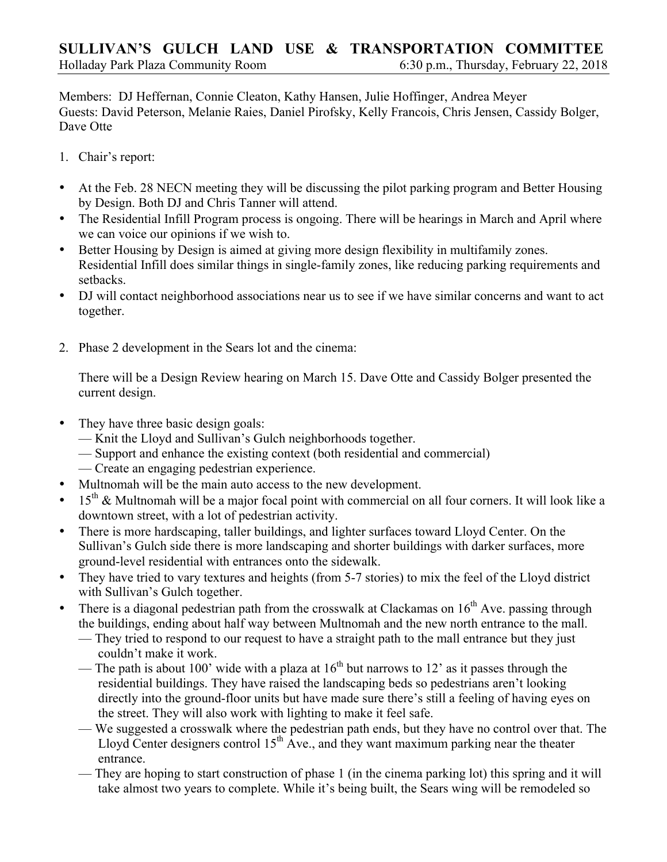Members: DJ Heffernan, Connie Cleaton, Kathy Hansen, Julie Hoffinger, Andrea Meyer Guests: David Peterson, Melanie Raies, Daniel Pirofsky, Kelly Francois, Chris Jensen, Cassidy Bolger, Dave Otte

- 1. Chair's report:
- At the Feb. 28 NECN meeting they will be discussing the pilot parking program and Better Housing by Design. Both DJ and Chris Tanner will attend.
- The Residential Infill Program process is ongoing. There will be hearings in March and April where we can voice our opinions if we wish to.
- Better Housing by Design is aimed at giving more design flexibility in multifamily zones. Residential Infill does similar things in single-family zones, like reducing parking requirements and setbacks.
- DJ will contact neighborhood associations near us to see if we have similar concerns and want to act together.
- 2. Phase 2 development in the Sears lot and the cinema:

There will be a Design Review hearing on March 15. Dave Otte and Cassidy Bolger presented the current design.

- They have three basic design goals:
	- Knit the Lloyd and Sullivan's Gulch neighborhoods together.
	- Support and enhance the existing context (both residential and commercial)
	- Create an engaging pedestrian experience.
- Multnomah will be the main auto access to the new development.
- 15<sup>th</sup> & Multnomah will be a major focal point with commercial on all four corners. It will look like a downtown street, with a lot of pedestrian activity.
- There is more hardscaping, taller buildings, and lighter surfaces toward Lloyd Center. On the Sullivan's Gulch side there is more landscaping and shorter buildings with darker surfaces, more ground-level residential with entrances onto the sidewalk.
- They have tried to vary textures and heights (from 5-7 stories) to mix the feel of the Lloyd district with Sullivan's Gulch together.
- There is a diagonal pedestrian path from the crosswalk at Clackamas on  $16<sup>th</sup>$  Ave. passing through the buildings, ending about half way between Multnomah and the new north entrance to the mall.
	- They tried to respond to our request to have a straight path to the mall entrance but they just couldn't make it work.
	- The path is about 100' wide with a plaza at  $16<sup>th</sup>$  but narrows to 12' as it passes through the residential buildings. They have raised the landscaping beds so pedestrians aren't looking directly into the ground-floor units but have made sure there's still a feeling of having eyes on the street. They will also work with lighting to make it feel safe.
	- We suggested a crosswalk where the pedestrian path ends, but they have no control over that. The Lloyd Center designers control  $15<sup>th</sup>$  Ave., and they want maximum parking near the theater entrance.
	- They are hoping to start construction of phase 1 (in the cinema parking lot) this spring and it will take almost two years to complete. While it's being built, the Sears wing will be remodeled so